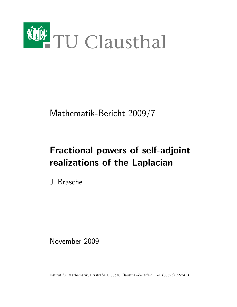

Mathematik-Bericht 2009/7

# Fractional powers of self-adjoint realizations of the Laplacian

J. Brasche

November 2009

Institut für Mathematik, Erzstraße 1, 38678 Clausthal-Zellerfeld, Tel. (05323) 72-2413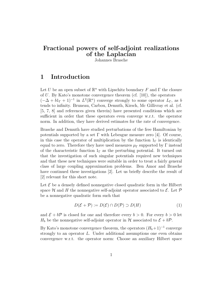## Fractional powers of self-adjoint realizations of the Laplacian

Johannes Brasche

## 1 Introduction

Let U be an open subset of  $\mathbb{R}^n$  with Lipschitz boundary F and  $\Gamma$  the closure of  $U$ . By Kato's monotone convergence theorem (cf. [10]), the operators  $(-\Delta + b1_{\Gamma} + 1)^{-1}$  in  $L^2(\mathbb{R}^n)$  converge strongly to some operator  $L_{\Gamma}$ , as b tends to infinity. Bruneau, Carbou, Demuth, Kirsch, Mc Gillivray et al. (cf. [5, 7, 8] and references given therein) have presented conditions which are sufficient in order that these operators even converge w.r.t. the operator norm. In addition, they have derived estimates for the rate of convergence.

Brasche and Demuth have studied perturbations of the free Hamiltonian by potentials supported by a set  $\Gamma$  with Lebesgue measure zero [4]. Of course, in this case the operator of multiplication by the function  $1<sub>\Gamma</sub>$  is identically equal to zero. Therefore they have used measures  $\mu_{\Gamma}$  supported by  $\Gamma$  instead of the characteristic function  $1_{\Gamma}$  as the perturbing potential. It turned out that the investigation of such singular potentials required new techniques and that these new techniques were suitable in order to treat a fairly general class of large coupling approximation problems. Ben Amor and Brasche have continued these investigations [2]. Let us briefly describe the result of [2] relevant for this short note.

Let  $\mathcal E$  be a densely defined nonnegative closed quadratic form in the Hilbert space H and H the nonnegative self-adjoint operator associated to  $\mathcal{E}$ . Let P be a nonnegative quadratic form such that

$$
D(\mathcal{E} + \mathcal{P}) := D(\mathcal{E}) \cap D(\mathcal{P}) \supset D(H)
$$
 (1)

and  $\mathcal{E} + b\mathcal{P}$  is closed for one and therefore every  $b > 0$ . For every  $b > 0$  let  $H_b$  be the nonnegative self-adjoint operator in H associated to  $\mathcal{E} + b\mathcal{P}$ .

By Kato's monotone convergence theorem, the operators  $(H_b+1)^{-1}$  converge strongly to an operator L. Under additional assumptions one even obtains convergence w.r.t. the operator norm: Choose an auxiliary Hilbert space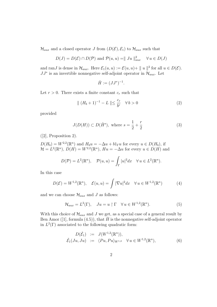$\mathcal{H}_{aux}$  and a closed operator J from  $(D(\mathcal{E}), \mathcal{E}_1)$  to  $\mathcal{H}_{aux}$  such that

$$
D(J) = D(\mathcal{E}) \cap D(\mathcal{P})
$$
 and  $\mathcal{P}(u, u) = || Ju ||_{aux}^{2} \quad \forall u \in D(J)$ 

and ranJ is dense in  $\mathcal{H}_{aux}$ . Here  $\mathcal{E}_1(u, u) := \mathcal{E}(u, u) + ||u||^2$  for all  $u \in D(\mathcal{E})$ .  $JJ^*$  is an invertible nonnegative self-adjoint operator in  $\mathcal{H}_{aux}$ . Let

$$
\check{H} := (JJ^*)^{-1}.
$$

Let  $r > 0$ . There exists a finite constant  $c_r$  such that

$$
\| (H_b + 1)^{-1} - L \| \le \frac{c_r}{b^r} \quad \forall \, b > 0 \tag{2}
$$

provided

$$
J(D(H)) \subset D(\check{H}^s)
$$
, where  $s = \frac{1}{2} + \frac{r}{2}$  (3)

([2], Proposition 2).

$$
D(H_b) = W^{2,2}(\mathbb{R}^n) \text{ and } H_b u = -\Delta u + b1_{\Gamma} u \text{ for every } u \in D(H_b), \text{ if }
$$
  

$$
\mathcal{H} = L^2(\mathbb{R}^n), D(H) = W^{2,2}(\mathbb{R}^n), Hu = -\Delta u \text{ for every } u \in D(H) \text{ and }
$$

$$
D(\mathcal{P}) = L^{2}(\mathbb{R}^{n}), \quad \mathcal{P}(u, u) = \int_{\Gamma} |u|^{2} dx \quad \forall u \in L^{2}(\mathbb{R}^{n}).
$$

In this case

$$
D(\mathcal{E}) = W^{1,2}(\mathbb{R}^n), \quad \mathcal{E}(u,u) = \int |\nabla u|^2 dx \quad \forall u \in W^{1,2}(\mathbb{R}^n)
$$
 (4)

and we can choose  $\mathcal{H}_{aux}$  and J as follows:

$$
\mathcal{H}_{aux} = L^2(\Gamma), \quad Ju = u \upharpoonright \Gamma \quad \forall \, u \in W^{1,2}(\mathbb{R}^n). \tag{5}
$$

With this choice of  $\mathcal{H}_{aux}$  and J we get, as a special case of a general result by Ben Amor ([1], formula (4.5)), that  $\check{H}$  is the nonnegative self-adjoint operator in  $L^2(\Gamma)$  associated to the following quadratic form:

$$
D(\check{\mathcal{E}}_1) := J(W^{1,2}(\mathbb{R}^n)), \check{\mathcal{E}}_1(Ju, Ju) := \langle Pu, Pu \rangle_{W^{1,2}} \quad \forall u \in W^{1,2}(\mathbb{R}^n),
$$
\n(6)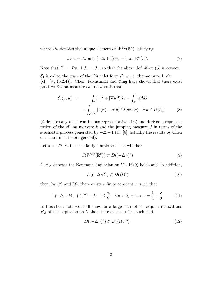where Pu denotes the unique element of  $W^{1,2}(\mathbb{R}^n)$  satisfying

$$
JPu = Ju \text{ and } (-\Delta + 1)Pu = 0 \text{ on } \mathbb{R}^n \setminus \Gamma. \tag{7}
$$

Note that  $Pu = Pv$ , if  $Ju = Jv$ , so that the above definition (6) is correct.

 $\check{\mathcal{E}}_1$  is called the trace of the Dirichlet form  $\mathcal{E}_1$  w.r.t. the measure  $1_\Gamma dx$ (cf.  $[9]$ ,  $(6.2.4)$ ). Chen, Fukushima and Ying have shown that there exist positive Radon measures  $k$  and  $J$  such that

$$
\tilde{\mathcal{E}}_1(u, u) = \int_{\Gamma} (|u|^2 + |\nabla u|^2) dx + \int_{F} |\tilde{u}|^2 dk
$$
  
+ 
$$
\int_{F \times F} |\tilde{u}(x) - \tilde{u}(y)|^2 J(dx dy) \quad \forall u \in D(\tilde{\mathcal{E}}_1)
$$
(8)

 $(\tilde{u}$  denotes any quasi continuous representative of u) and derived a representation of the killing measure  $k$  and the jumping measure  $J$  in terms of the stochastic process generated by  $-\Delta + 1$  (cf. [6], actually the results by Chen et al. are much more general).

Let  $s > 1/2$ . Often it is fairly simple to check whether

$$
J(W^{2,2}(\mathbb{R}^n)) \subset D((-\Delta_N)^s)
$$
\n(9)

 $(-\Delta_N)$  denotes the Neumann-Laplacian on U). If (9) holds and, in addition,

$$
D((-\Delta_N)^s) \subset D(\check{H})^s)
$$
\n(10)

then, by  $(2)$  and  $(3)$ , there exists a finite constant  $c_r$  such that

$$
\| (-\Delta + b1_{\Gamma} + 1)^{-1} - L_{\Gamma} \| \le \frac{c_r}{b^r} \quad \forall \, b > 0, \text{ where } s = \frac{1}{2} + \frac{r}{2}.
$$
 (11)

In this short note we shall show for a large class of self-adjoint realizations  $H_A$  of the Laplacian on U that there exist  $s > 1/2$  such that

$$
D((-\Delta_N)^s) \subset D((H_A)^s). \tag{12}
$$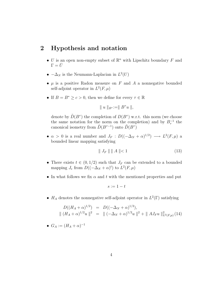#### 2 Hypothesis and notation

- U is an open non-empty subset of  $\mathbb{R}^n$  with Lipschitz boundary F and  $\Gamma = \bar{U}$
- $-\Delta_N$  is the Neumann-Laplacian in  $L^2(U)$
- $\mu$  is a positive Radon measure on F and A a nonnegative bounded self-adjoint operator in  $L^2(F, \mu)$
- If  $B = B^* \ge c > 0$ , then we define for every  $\tau \in \mathbb{R}$

$$
\parallel u \parallel_{B^{\tau}} := \parallel B^{\tau} u \parallel,
$$

denote by  $\tilde{D}(B^{\tau})$  the completion of  $D(B^{\tau})$  w.r.t. this norm (we choose the same notation for the norm on the completion) and by  $B_{\tau}^{-1}$  the canonical isometry from  $\tilde{D}(B^{\tau-1})$  onto  $\tilde{D}(B^{\tau})$ 

•  $\alpha > 0$  is a real number and  $J_F : D((-\Delta_N + \alpha)^{1/2}) \longrightarrow L^2(F, \mu)$  a bounded linear mapping satisfying

$$
\| J_F \| \| A \| < 1 \tag{13}
$$

- There exists  $t \in (0, 1/2)$  such that  $J_F$  can be extended to a bounded mapping  $J_e$  from  $D((-\Delta_N + \alpha)^t)$  to  $L^2(F, \mu)$
- In what follows we fix  $\alpha$  and t with the mentioned properties and put

$$
s := 1 - t
$$

•  $H_A$  denotes the nonnegative self-adjoint operator in  $L^2(\Gamma)$  satisfying

$$
D((H_A + \alpha)^{1/2}) = D((-\Delta_N + \alpha)^{1/2}),
$$
  
 
$$
\| (H_A + \alpha)^{1/2} u \|^2 = \| (-\Delta_N + \alpha)^{1/2} u \|^2 + \| A J_F u \|^2_{L^2(F,\mu)} (14)
$$

$$
\bullet \ \ G_A := (H_A + \alpha)^{-1}
$$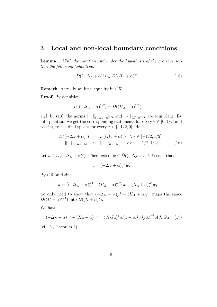#### 3 Local and non-local boundary conditions

Lemma 1 With the notation and under the hypothesis of the previous section the following holds true.

$$
D((-\Delta_N + \alpha)^s) \subset D((H_A + \alpha)^s). \tag{15}
$$

Remark: Actually we have equality in (15).

Proof: By definition,

$$
D((-\Delta_N + \alpha)^{1/2}) = D((H_A + \alpha)^{1/2})
$$

and, by (13), the norms  $\|\cdot\|_{(-\Delta_N+\alpha)^{1/2}}$  and  $\|\cdot\|_{(H+\alpha)^{1/2}}$  are equivalent. By interpolation, we get the corresponding statements for every  $\tau \in [0, 1/2]$  and passing to the dual spaces for every  $\tau \in [-1/2, 0]$ . Hence

$$
\tilde{D}((-\Delta_N + \alpha)^\tau) = \tilde{D}((H_A + \alpha)^\tau) \quad \forall \tau \in [-1/2, 1/2],
$$
  

$$
\|\cdot\|_{(-\Delta_N + \alpha)^\tau} \sim \|\cdot\|_{(H_A + \alpha)^\tau} \quad \forall \tau \in [-1/2, 1/2].
$$
 (16)

Let  $u \in D((-\Delta_N + \alpha)^s)$ . There exists  $w \in \tilde{D}((-\Delta_N + \alpha)^{s-1})$  such that

$$
u = \left(-\Delta_N + \alpha\right)_s^{-1} w.
$$

By (16) and since

$$
u = ((-\Delta_N + \alpha)_s^{-1} - (H_A + \alpha)_s^{-1}) w + (H_A + \alpha)_s^{-1} w,
$$

we only need to show that  $(-\Delta_N + \alpha)_s^{-1} - (H_A + \alpha)_s^{-1}$  maps the space  $\tilde{D}((H+\alpha)^{s-1})$  into  $D((H+\alpha)^s)$ .

We have

$$
(-\Delta_N + \alpha)^{-1} - (H_A + \alpha)^{-1} = (J_F G_A)^* A (1 - A J_F J_F^* A)^{-1} A J_F G_A \quad (17)
$$

(cf. [3], Theorem 3).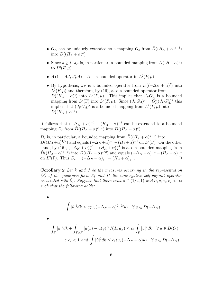- $G_A$  can be uniquely extended to a mapping  $G_s$  from  $\tilde{D}((H_A + \alpha)^{s-1})$ into  $D((H_A + \alpha)^s)$
- Since  $s \geq t$ ,  $J_F$  is, in particular, a bounded mapping from  $D((H+\alpha)^s)$ to  $L^2(F,\mu)$
- $A(1 AJ_F J_F^* A)^{-1} A$  is a bounded operator in  $L^2(F, \mu)$
- By hypothesis,  $J_F$  is a bounded operator from  $D((-\Delta_N + \alpha)^t)$  into  $L^2(F,\mu)$  and therefore, by (16), also a bounded operator from  $D((H_A + \alpha)^t)$  into  $L^2(F, \mu)$ . This implies that  $J_F G_A^t$  is a bounded mapping from  $L^2(\Gamma)$  into  $L^2(F,\mu)$ . Since  $(J_F G_A^*)^* = G_A^s (J_F G_A^t)^*$  this implies that  $(J_F G_A)^*$  is a bounded mapping from  $L^2(F, \mu)$  into  $D((H_A + \alpha)^s).$

It follows that  $(-\Delta_N + \alpha)^{-1} - (H_A + \alpha)^{-1}$  can be extended to a bounded mapping  $D_e$  from  $\tilde{D}((H_A + \alpha)^{s-1})$  into  $D((H_A + \alpha)^s)$ .

 $D_e$  is, in particular, a bounded mapping from  $\tilde{D}((H_A + \alpha)^{s-1})$  into  $D((H_A+\alpha)^{1/2})$  and equals  $(-\Delta_N+\alpha)^{-1}-(H_A+\alpha)^{-1}$  on  $L^2(\Gamma)$ . On the other hand, by (16),  $(-\Delta_N + \alpha)_s^{-1} - (H_A + \alpha)_s^{-1}$  is also a bounded mapping from  $\tilde{D}((H_A+\alpha)^{s-1})$  into  $D((H_A+\alpha)^{1/2})$  and equals  $(-\Delta_N+\alpha)^{-1}-(H_A+\alpha)^{-1}$ on  $L^2(\Gamma)$ . Thus  $D_e = (-\Delta_N + \alpha)_s^{-1} - (H_A + \alpha)_s^{-1}$ .

**Corollary 2** Let  $k$  and  $J$  be the measures occurring in the representation (8) of the quadratic form  $\check{\mathcal{E}}_1$  and  $\check{H}$  the nonnegative self-adjoint operator associated with  $\check{\mathcal{E}}_1$ . Suppose that there exist  $s \in (1/2, 1)$  and  $\alpha, c, c_1, c_2 < \infty$ such that the following holds:

•  $|\tilde{u}|^2 dk \leq c \langle u, (-\Delta_N + \alpha)^{2-2s} u \rangle \quad \forall u \in D(-\Delta_N)$ •  $\int\limits_F |\tilde{u}|^2 dk +$  $F \times F$  $|\tilde{u}(x) - \tilde{u}(y)|^2 J(dx dy) \leq c_2$  $\int_{F} |\tilde{u}|^2 dk \quad \forall u \in D(\check{\mathcal{E}}_1),$  $c_1c_2 < 1$  and  $\int |\tilde{u}|^2 dk \le c_1 \langle u, (-\Delta_N + \alpha)u \rangle \quad \forall u \in D(-\Delta_N).$